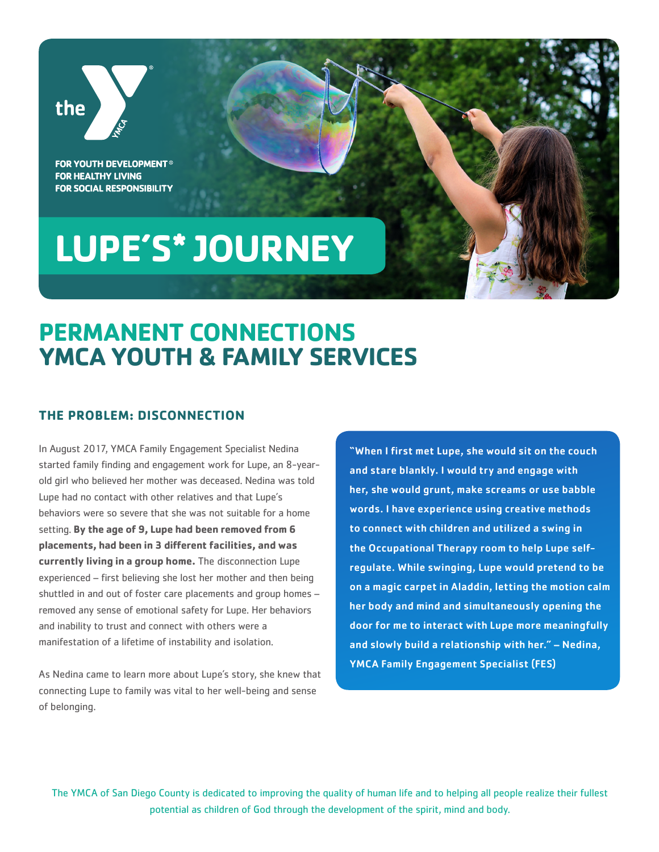

**FOR YOUTH DEVELOPMENT<sup>®</sup> FOR HEALTHY LIVING FOR SOCIAL RESPONSIBILITY** 

# **LUPE'S\* JOURNEY**

# **PERMANENT CONNECTIONS YMCA YOUTH & FAMILY SERVICES**

### **THE PROBLEM: DISCONNECTION**

In August 2017, YMCA Family Engagement Specialist Nedina started family finding and engagement work for Lupe, an 8-yearold girl who believed her mother was deceased. Nedina was told Lupe had no contact with other relatives and that Lupe's behaviors were so severe that she was not suitable for a home setting. **By the age of 9, Lupe had been removed from 6 placements, had been in 3 different facilities, and was currently living in a group home.** The disconnection Lupe experienced – first believing she lost her mother and then being shuttled in and out of foster care placements and group homes – removed any sense of emotional safety for Lupe. Her behaviors and inability to trust and connect with others were a manifestation of a lifetime of instability and isolation.

As Nedina came to learn more about Lupe's story, she knew that connecting Lupe to family was vital to her well-being and sense of belonging.

"When I first met Lupe, she would sit on the couch and stare blankly. I would try and engage with her, she would grunt, make screams or use babble words. I have experience using creative methods to connect with children and utilized a swing in the Occupational Therapy room to help Lupe selfregulate. While swinging, Lupe would pretend to be on a magic carpet in Aladdin, letting the motion calm her body and mind and simultaneously opening the door for me to interact with Lupe more meaningfully and slowly build a relationship with her." – Nedina, YMCA Family Engagement Specialist (FES)

The YMCA of San Diego County is dedicated to improving the quality of human life and to helping all people realize their fullest potential as children of God through the development of the spirit, mind and body.